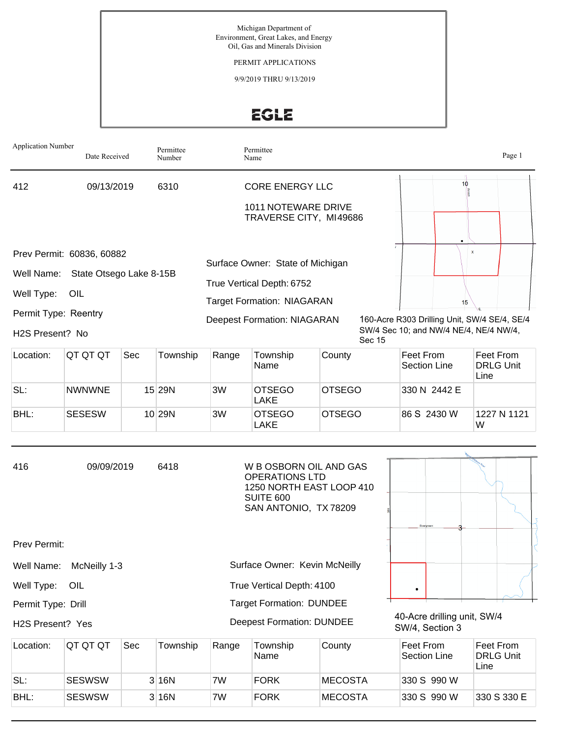Michigan Department of Environment, Great Lakes, and Energy Oil, Gas and Minerals Division

PERMIT APPLICATIONS

9/9/2019 THRU 9/13/2019

# EGLE

| <b>Application Number</b>                                           | Date Received                                               |     | Permittee<br>Number |                                                                         | Permittee<br>Name                                                                                                                        |                |        |                                                                                        |                               | Page 1                        |
|---------------------------------------------------------------------|-------------------------------------------------------------|-----|---------------------|-------------------------------------------------------------------------|------------------------------------------------------------------------------------------------------------------------------------------|----------------|--------|----------------------------------------------------------------------------------------|-------------------------------|-------------------------------|
| 412                                                                 | 09/13/2019                                                  |     | 6310                | <b>CORE ENERGY LLC</b><br>1011 NOTEWARE DRIVE<br>TRAVERSE CITY, MI49686 |                                                                                                                                          |                |        | 10                                                                                     |                               |                               |
| Well Name:<br>Well Type:<br>Permit Type: Reentry<br>H2S Present? No | Prev Permit: 60836, 60882<br>State Otsego Lake 8-15B<br>OIL |     |                     |                                                                         | Surface Owner: State of Michigan<br>True Vertical Depth: 6752<br><b>Target Formation: NIAGARAN</b><br><b>Deepest Formation: NIAGARAN</b> |                |        | 160-Acre R303 Drilling Unit, SW/4 SE/4, SE/4<br>SW/4 Sec 10; and NW/4 NE/4, NE/4 NW/4, | $\overline{\mathbf{x}}$<br>15 |                               |
| Location:                                                           | QT QT QT                                                    | Sec | Township            | Range                                                                   | Township<br>Name                                                                                                                         | County         | Sec 15 | Feet From<br><b>Section Line</b>                                                       | Line                          | Feet From<br><b>DRLG Unit</b> |
| SL:                                                                 | <b>NWNWNE</b>                                               |     | 15 29N              | 3W                                                                      | <b>OTSEGO</b><br><b>LAKE</b>                                                                                                             | <b>OTSEGO</b>  |        | 330 N 2442 E                                                                           |                               |                               |
| BHL:                                                                | <b>SESESW</b>                                               |     | 10 29N              | 3W                                                                      | <b>OTSEGO</b><br>LAKE                                                                                                                    | <b>OTSEGO</b>  |        | 86 S 2430 W                                                                            | W                             | 1227 N 1121                   |
| 416                                                                 | 09/09/2019                                                  |     | 6418                |                                                                         | W B OSBORN OIL AND GAS<br><b>OPERATIONS LTD</b><br>1250 NORTH EAST LOOP 410<br><b>SUITE 600</b><br>SAN ANTONIO, TX 78209                 |                |        | Ever                                                                                   |                               |                               |
| Prev Permit:                                                        |                                                             |     |                     |                                                                         |                                                                                                                                          |                |        |                                                                                        |                               |                               |
| Well Name:                                                          | McNeilly 1-3                                                |     |                     |                                                                         | Surface Owner: Kevin McNeilly                                                                                                            |                |        |                                                                                        |                               |                               |
| Well Type:                                                          | OIL                                                         |     |                     |                                                                         | True Vertical Depth: 4100                                                                                                                |                |        | ٠                                                                                      |                               |                               |
| Permit Type: Drill<br>H2S Present? Yes                              |                                                             |     |                     |                                                                         | <b>Target Formation: DUNDEE</b><br><b>Deepest Formation: DUNDEE</b>                                                                      |                |        | 40-Acre drilling unit, SW/4<br>SW/4, Section 3                                         |                               |                               |
| Location:                                                           | QT QT QT                                                    | Sec | Township            | Range                                                                   | Township<br>Name                                                                                                                         | County         |        | Feet From<br><b>Section Line</b>                                                       | Line                          | Feet From<br><b>DRLG Unit</b> |
| SL:                                                                 | <b>SESWSW</b>                                               |     | 3 16N               | 7W                                                                      | <b>FORK</b>                                                                                                                              | <b>MECOSTA</b> |        | 330 S 990 W                                                                            |                               |                               |

BHL: SESWSW 3 16N 7W FORK MECOSTA 330 S 990 W 330 S 330 E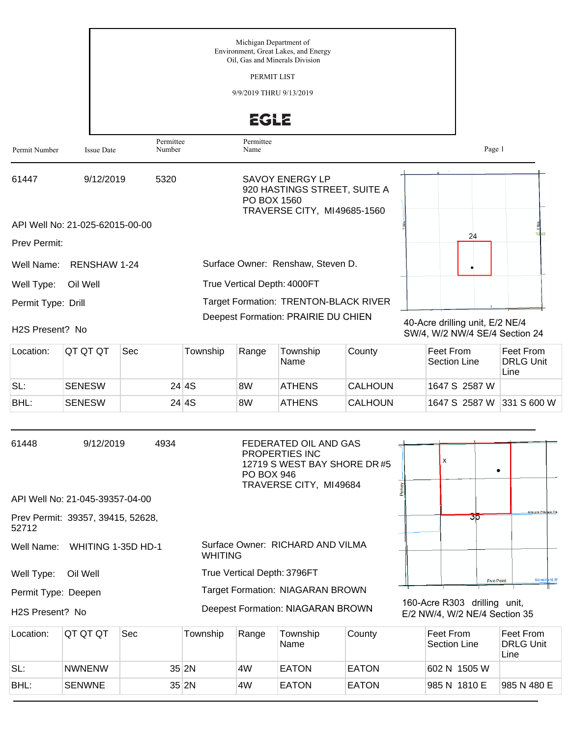|                              |                                 |                     | Michigan Department of<br>Environment, Great Lakes, and Energy<br>Oil, Gas and Minerals Division<br>PERMIT LIST<br>9/9/2019 THRU 9/13/2019<br><b>EGLE</b> |                                                                                                             |  |
|------------------------------|---------------------------------|---------------------|-----------------------------------------------------------------------------------------------------------------------------------------------------------|-------------------------------------------------------------------------------------------------------------|--|
| Permit Number                | <b>Issue Date</b>               | Permittee<br>Number | Permittee<br>Name                                                                                                                                         | Page 1                                                                                                      |  |
| 61447                        | 9/12/2019                       | 5320                | <b>SAVOY ENERGY LP</b><br>920 HASTINGS STREET, SUITE A<br>PO BOX 1560<br>TRAVERSE CITY, MI49685-1560                                                      |                                                                                                             |  |
|                              | API Well No: 21-025-62015-00-00 |                     |                                                                                                                                                           |                                                                                                             |  |
| <b>Prev Permit:</b>          |                                 |                     |                                                                                                                                                           | 24                                                                                                          |  |
| Well Name:                   | RENSHAW 1-24                    |                     | Surface Owner: Renshaw, Steven D.                                                                                                                         |                                                                                                             |  |
| Well Type:                   | Oil Well                        |                     | True Vertical Depth: 4000FT                                                                                                                               |                                                                                                             |  |
| Permit Type: Drill           |                                 |                     | Target Formation: TRENTON-BLACK RIVER                                                                                                                     |                                                                                                             |  |
| H <sub>2</sub> S Present? No |                                 |                     | Deepest Formation: PRAIRIE DU CHIEN                                                                                                                       | 40-Acre drilling unit, E/2 NE/4<br>$C(M/I)$ $M/I$ $N(M/I)$ $C\sqsubset I$ $A$ $C_{\sim}$ $C_{\sim}$ $D$ $A$ |  |

Location: QT QT QT Sec Township Range Township Name County Feet From Section Line Feet From DRLG Unit Line SL: SENESW 24 4S 8W ATHENS CALHOUN 1647 S 2587 W BHL: SENESW 24 4S 8W ATHENS CALHOUN 1647 S 2587 W 331 S 600 W

SW/4, W/2 NW/4 SE/4 Section 24

| 61448                        | 9/12/2019                         | 4934 | FEDERATED OIL AND GAS<br>PROPERTIES INC.<br>12719 S WEST BAY SHORE DR #5<br><b>PO BOX 946</b><br>TRAVERSE CITY, MI49684 |  | X |                                                               |                        |  |
|------------------------------|-----------------------------------|------|-------------------------------------------------------------------------------------------------------------------------|--|---|---------------------------------------------------------------|------------------------|--|
|                              | API Well No: 21-045-39357-04-00   |      |                                                                                                                         |  |   |                                                               |                        |  |
| 52712                        | Prev Permit: 39357, 39415, 52628, |      |                                                                                                                         |  |   | 35                                                            | Mils and Pritchard Dra |  |
|                              | Well Name: WHITING 1-35D HD-1     |      | Surface Owner: RICHARD AND VILMA<br><b>WHITING</b>                                                                      |  |   |                                                               |                        |  |
| Well Type:                   | Oil Well                          |      | True Vertical Depth: 3796FT                                                                                             |  |   | <b>Five Point</b>                                             | Sidwell and M          |  |
| Permit Type: Deepen          |                                   |      | <b>Target Formation: NIAGARAN BROWN</b>                                                                                 |  |   |                                                               |                        |  |
| H <sub>2</sub> S Present? No |                                   |      | Deepest Formation: NIAGARAN BROWN                                                                                       |  |   | 160-Acre R303 drilling unit,<br>E/2 NW/4, W/2 NE/4 Section 35 |                        |  |

| Location: | ∣QT QT QT     | <b>Sec</b> | Township | Range | Township<br>Name | County       | Feet From<br>Section Line | Feet From<br>DRLG Unit<br>Line |
|-----------|---------------|------------|----------|-------|------------------|--------------|---------------------------|--------------------------------|
| SL:       | <b>NWNENW</b> |            | $35$ 2N  | 4W    | <b>EATON</b>     | <b>EATON</b> | 602 N 1505 W              |                                |
| BHL:      | <b>SENWNE</b> |            | $35$ 2N  | 4W    | <b>EATON</b>     | <b>EATON</b> | 985 N 1810 E              | 1985 N 480 E                   |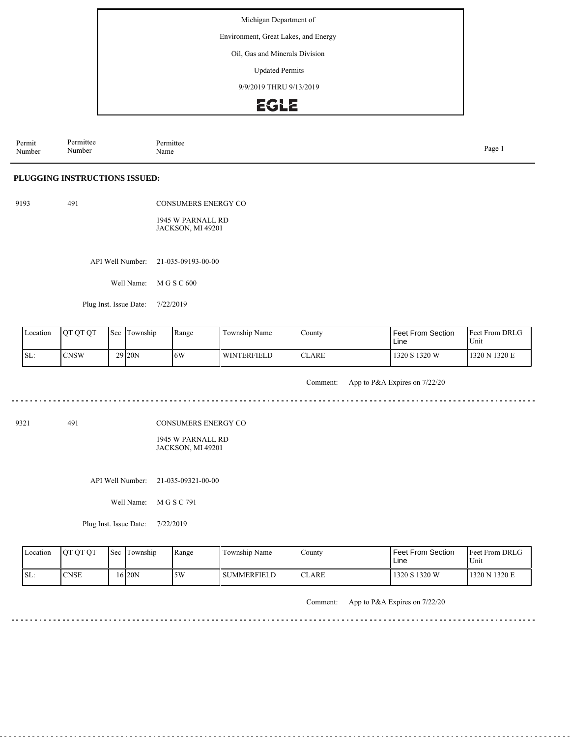Environment, Great Lakes, and Energy

Oil, Gas and Minerals Division

Updated Permits

9/9/2019 THRU 9/13/2019

### EGLE

Permit Number Permittee Number Permittee<br>Name Name Page 1

#### **PLUGGING INSTRUCTIONS ISSUED:**

| 9193 |  |
|------|--|
|      |  |

491 CONSUMERS ENERGY CO 1945 W PARNALL RD JACKSON, MI 49201

API Well Number: 21-035-09193-00-00

Well Name: M G S C 600

Plug Inst. Issue Date: 7/22/2019

| Location | <b>OT OT OT</b> | Sec | l'I'ownship        | Range | Township Name      | County        | <b>Feet From Section</b><br>Line | <b>Feet From DRLG</b><br>Unit |
|----------|-----------------|-----|--------------------|-------|--------------------|---------------|----------------------------------|-------------------------------|
| ISL:     | <b>CNSW</b>     |     | 29 <sub>20</sub> N | 6W    | <b>WINTERFIELD</b> | <b>ICLARE</b> | 1320 S 1320 W                    | 1320 N 1320 E                 |

Comment: App to P&A Expires on 7/22/20

9321 491

CONSUMERS ENERGY CO

1945 W PARNALL RD JACKSON, MI 49201

API Well Number: 21-035-09321-00-00

Well Name: M G S C 791

Plug Inst. Issue Date: 7/22/2019

| Location | <b>OT OT OT</b> | l Sec | Township | Range | Township Name      | $\mathcal{L}$ ounty | Feet From Section<br>Line | <b>Feet From DRLG</b><br>Unit |
|----------|-----------------|-------|----------|-------|--------------------|---------------------|---------------------------|-------------------------------|
| ISL:     | <b>CNSE</b>     |       | 16 20 N  | 5W    | <b>SUMMERFIELD</b> | CLARE<br>$\cap$ T   | 1320 S 1320 W             | 1320 N 1320 E                 |

Comment: App to P&A Expires on 7/22/20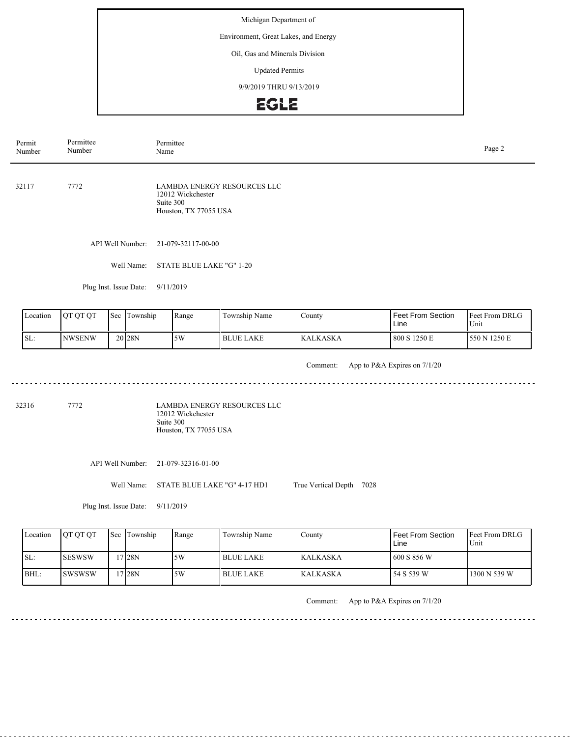Environment, Great Lakes, and Energy

#### Oil, Gas and Minerals Division

Updated Permits

9/9/2019 THRU 9/13/2019

### **EGLE**

| Permit<br>Number | Permittee<br>Number    | Permittee<br>Page 2<br>Name                                                                   |  |  |  |
|------------------|------------------------|-----------------------------------------------------------------------------------------------|--|--|--|
| 32117            | 7772                   | <b>LAMBDA ENERGY RESOURCES LLC</b><br>12012 Wickchester<br>Suite 300<br>Houston, TX 77055 USA |  |  |  |
|                  |                        | API Well Number: 21-079-32117-00-00                                                           |  |  |  |
|                  | Well Name:             | STATE BLUE LAKE "G" 1-20                                                                      |  |  |  |
|                  | Plug Inst. Issue Date: | 9/11/2019                                                                                     |  |  |  |

Feet From DRLG Unit 800 S 1250 E 550 N 1250 E Feet From Section Line County KALKASKA Location QT QT QT Sec Township Range Township Name SL: NWSENW Sec Township 20 28N 5W BLUE LAKE

<u>. . . . . . . .</u>

Comment: App to P&A Expires on 7/1/20

<u>. . . . . . . . . .</u>

<u>. . . . . . . . . . . . . . . . . . .</u>

32316 7772

LAMBDA ENERGY RESOURCES LLC 12012 Wickchester Suite 300 Houston, TX 77055 USA

API Well Number: 21-079-32316-01-00

Well Name: STATE BLUE LAKE "G" 4-17 HD1

Plug Inst. Issue Date: 9/11/2019

| Location | <b>OT OT OT</b> | <b>Sec</b> Township | Range | Township Name | County           | Feet From Section<br>Line | <b>IFeet From DRLG</b><br>Unit |
|----------|-----------------|---------------------|-------|---------------|------------------|---------------------------|--------------------------------|
| ISL:     | <b>ISESWSW</b>  | 7 28N               | 5W    | l BLUE LAKE   | <b>KALKASKA</b>  | 600 S 856 W               |                                |
| IBHL:    | <b>ISWSWSW</b>  | 7 28N               | 5W    | I BLUE LAKE-  | <b>IKALKASKA</b> | 54 S 539 W                | 1300 N 539 W                   |

Comment: App to P&A Expires on 7/1/20

True Vertical Depth: 7028

. . . . . . . . .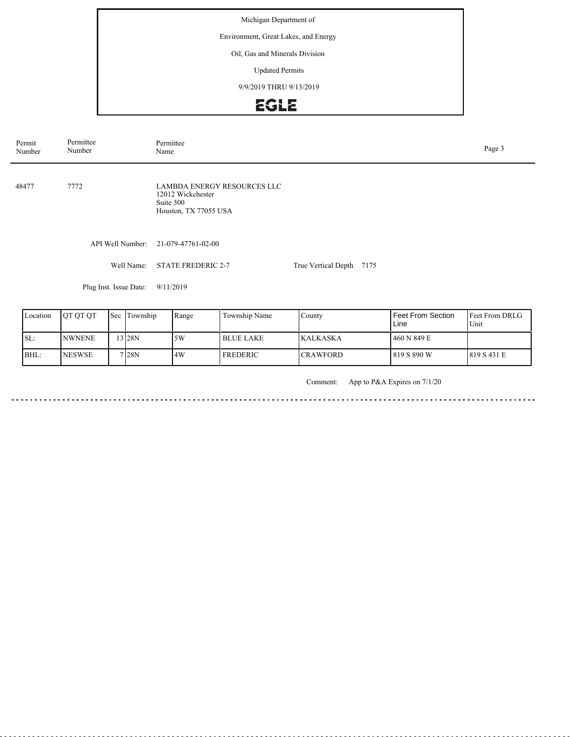Environment, Great Lakes, and Energy

### Oil, Gas and Minerals Division

Updated Permits

9/9/2019 THRU 9/13/2019

# EGLE

| Permit<br>Number | Permittee<br>Number    | Permittee<br>Page 3<br>Name                                                                   |                           |  |  |  |  |
|------------------|------------------------|-----------------------------------------------------------------------------------------------|---------------------------|--|--|--|--|
| 48477            | 7772                   | <b>LAMBDA ENERGY RESOURCES LLC</b><br>12012 Wickchester<br>Suite 300<br>Houston, TX 77055 USA |                           |  |  |  |  |
|                  | API Well Number:       | 21-079-47761-02-00                                                                            |                           |  |  |  |  |
|                  | Well Name:             | <b>STATE FREDERIC 2-7</b>                                                                     | True Vertical Depth: 7175 |  |  |  |  |
|                  | Plug Inst. Issue Date: | 9/11/2019                                                                                     |                           |  |  |  |  |
|                  |                        |                                                                                               |                           |  |  |  |  |

| Location | <b>OT OT OT</b> | <b>Sec</b> | Township | Range | Township Name | County          | Feet From Section<br>Line | <b>IFeet From DRLG</b><br>Unit |
|----------|-----------------|------------|----------|-------|---------------|-----------------|---------------------------|--------------------------------|
| ISL:     | <b>INWNENE</b>  |            | $3$ 28N  | 5W    | l BLUE LAKE   | <b>KALKASKA</b> | 460 N 849 E               |                                |
| BHL:     | <b>NESWSE</b>   |            | 7128N    | 4W    | I FREDERIC    | <b>CRAWFORD</b> | l 819 S 890 W             | 1819 S 431 E                   |

Comment: App to P&A Expires on 7/1/20

<u>. . . . . .</u>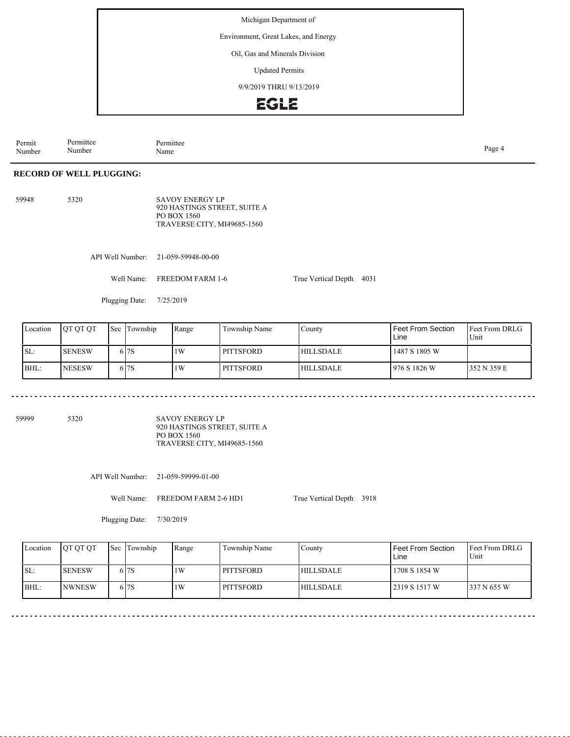Environment, Great Lakes, and Energy

Oil, Gas and Minerals Division

Updated Permits

9/9/2019 THRU 9/13/2019

### **EGLE**

Permit Number Permittee Number Permittee<br>Name Name Page 4

#### **RECORD OF WELL PLUGGING:**

| 59948 | 5320 | <b>SAVOY ENERGY LP</b>       |
|-------|------|------------------------------|
|       |      | 920 HASTINGS STREET. SUITE A |
|       |      | PO BOX 1560                  |
|       |      | TRAVERSE CITY, MI49685-1560  |

API Well Number: 21-059-59948-00-00

Well Name: FREEDOM FARM 1-6

Plugging Date: 7/25/2019

| Location | <b>IOT OT OT</b> | <b>Sec Township</b> | Range | Township Name    | County           | Feet From Section<br>Line | <b>Feet From DRLG</b><br>Unit |
|----------|------------------|---------------------|-------|------------------|------------------|---------------------------|-------------------------------|
| ISL:     | <b>ISENESW</b>   | 617S                | 1W    | <b>PITTSFORD</b> | <b>HILLSDALE</b> | 1487 S 1805 W             |                               |
| BHL:     | <b>INESESW</b>   | 6 <sub>17</sub> S   | 1W    | l pittsford      | <b>HILLSDALE</b> | 1976 S 1826 W             | 352 N 359 E                   |

59999 5320

SAVOY ENERGY LP 920 HASTINGS STREET, SUITE A PO BOX 1560 TRAVERSE CITY, MI49685-1560

API Well Number: 21-059-59999-01-00

Well Name: FREEDOM FARM 2-6 HD1

True Vertical Depth: 3918

True Vertical Depth: 4031

Plugging Date: 7/30/2019

| Location | <b>IOT OT OT</b> | 'Sec | Township | Range | Township Name    | County           | <b>Feet From Section</b><br>Line | <b>IFeet From DRLG</b><br>Unit |
|----------|------------------|------|----------|-------|------------------|------------------|----------------------------------|--------------------------------|
| SL:      | <b>SENESW</b>    |      | 617S     | 1W    | <b>PITTSFORD</b> | <b>HILLSDALE</b> | 1708 S 1854 W                    |                                |
| BHL:     | <b>INWNESW</b>   |      | 617S     | 1W    | <b>PITTSFORD</b> | <b>HILLSDALE</b> | 12319 S 1517 W                   | 337 N 655 W                    |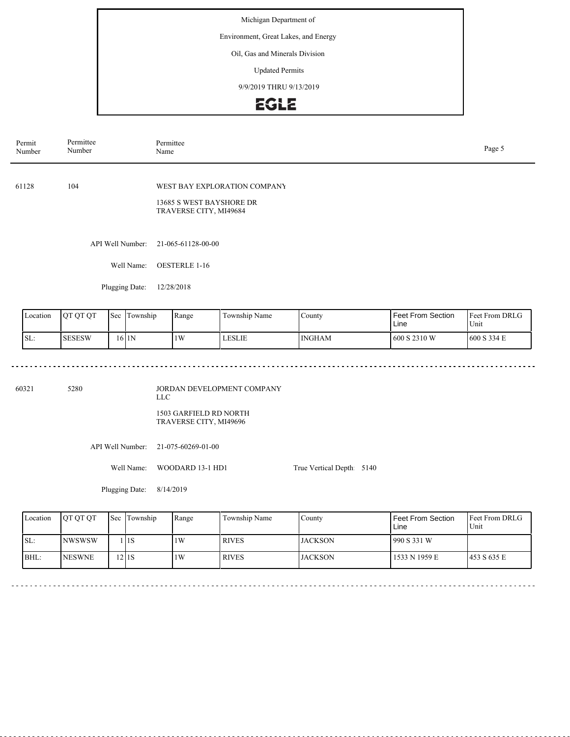Environment, Great Lakes, and Energy

Oil, Gas and Minerals Division

Updated Permits

9/9/2019 THRU 9/13/2019

### **EGLE**

| Permit<br>Number | Permittee<br>Number | Permittee<br>Page 5<br>Name                                                        |  |  |  |  |
|------------------|---------------------|------------------------------------------------------------------------------------|--|--|--|--|
| 61128            | 104                 | WEST BAY EXPLORATION COMPANY<br>13685 S WEST BAYSHORE DR<br>TRAVERSE CITY, MI49684 |  |  |  |  |
|                  | API Well Number:    | 21-065-61128-00-00                                                                 |  |  |  |  |
|                  | Well Name:          | <b>OESTERLE 1-16</b>                                                               |  |  |  |  |
|                  | Plugging Date:      | 12/28/2018                                                                         |  |  |  |  |
|                  |                     |                                                                                    |  |  |  |  |

| Location | <b>OT OT OT</b> | 'Sec | Township | Range | Township Name | County        | Feet From Section<br>Line | <b>Feet From DRLG</b><br>Unit |
|----------|-----------------|------|----------|-------|---------------|---------------|---------------------------|-------------------------------|
| SL:      | <b>SESESW</b>   |      | 16 IN    | 1W    | <b>LESLIE</b> | <b>INGHAM</b> | 1600 S 2310 W             | 600 S 334 E                   |

60321 5280

JORDAN DEVELOPMENT COMPANY LLC 1503 GARFIELD RD NORTH TRAVERSE CITY, MI49696

API Well Number: 21-075-60269-01-00

Well Name: WOODARD 13-1 HD1

Plugging Date: 8/14/2019

<u>. . . . . . . . .</u>

| Location | <b>IOT OT OT</b> | <b>Sec Township</b> | Range | Township Name | County          | Feet From Section<br>Line | <b>Feet From DRLG</b><br>Unit |
|----------|------------------|---------------------|-------|---------------|-----------------|---------------------------|-------------------------------|
| ISL:     | <b>INWSWSW</b>   | l IIS               | 1W    | <b>RIVES</b>  | <b>IJACKSON</b> | 990 S 331 W               |                               |
| BHL:     | <b>NESWNE</b>    | 12 I 1 S            | 1W    | <b>RIVES</b>  | LJACKSON        | 1533 N 1959 E             | 1453 S 635 E                  |

True Vertical Depth: 5140

 $\sim$   $\sim$ 

. . . . . . .

. . . . . . . . . . . . . . . . . . .

---------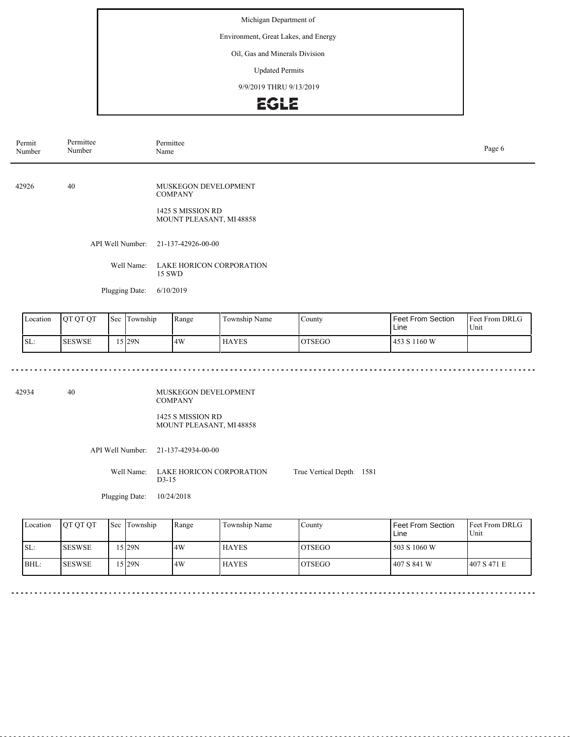Environment, Great Lakes, and Energy

#### Oil, Gas and Minerals Division

Updated Permits

9/9/2019 THRU 9/13/2019

## **EGLE**

| Permit<br>Number | Permittee<br>Number | Permittee<br>Page 6<br>Name                                                            |  |  |  |  |  |
|------------------|---------------------|----------------------------------------------------------------------------------------|--|--|--|--|--|
| 42926            | 40                  | MUSKEGON DEVELOPMENT<br><b>COMPANY</b><br>1425 S MISSION RD<br>MOUNT PLEASANT, MI48858 |  |  |  |  |  |
|                  |                     | API Well Number: 21-137-42926-00-00                                                    |  |  |  |  |  |
|                  | Well Name:          | LAKE HORICON CORPORATION<br>15 SWD                                                     |  |  |  |  |  |
|                  | Plugging Date:      | 6/10/2019                                                                              |  |  |  |  |  |

| Location | <b>OT OT OT</b> | Sec | Township<br>. . | Range | Township Name | County        | <b>Feet From Section</b><br>Line | <b>Feet From DRLG</b><br>Unit |
|----------|-----------------|-----|-----------------|-------|---------------|---------------|----------------------------------|-------------------------------|
| ISL:     | <b>SESWSE</b>   |     | 5129N           | 4W    | <b>HAYES</b>  | <b>OTSEGO</b> | 453 S 1160 W                     |                               |

 $- - - -$ 

42934 40

 $\frac{1}{2} \left( \frac{1}{2} \right) \left( \frac{1}{2} \right) \left( \frac{1}{2} \right) \left( \frac{1}{2} \right)$ 

MUSKEGON DEVELOPMENT COMPANY 1425 S MISSION RD MOUNT PLEASANT, MI 48858

API Well Number: 21-137-42934-00-00

Well Name: LAKE HORICON CORPORATION D3-15 True Vertical Depth: 1581

Plugging Date: 10/24/2018

| Location | <b>OT OT OT</b> | <b>Sec Township</b> | Range | Township Name | County         | Feet From Section<br>Line | <b>Feet From DRLG</b><br>Unit |
|----------|-----------------|---------------------|-------|---------------|----------------|---------------------------|-------------------------------|
| SL:      | <b>ISESWSE</b>  | 5 29N               | 4W    | <b>HAYES</b>  | <b>IOTSEGO</b> | 503 S 1060 W              |                               |
| $BHL$ :  | <b>ISESWSE</b>  | 5 29N               | 4W    | <b>HAYES</b>  | <b>LOTSEGO</b> | 1407 S 841 W              | 1407 S 471 E                  |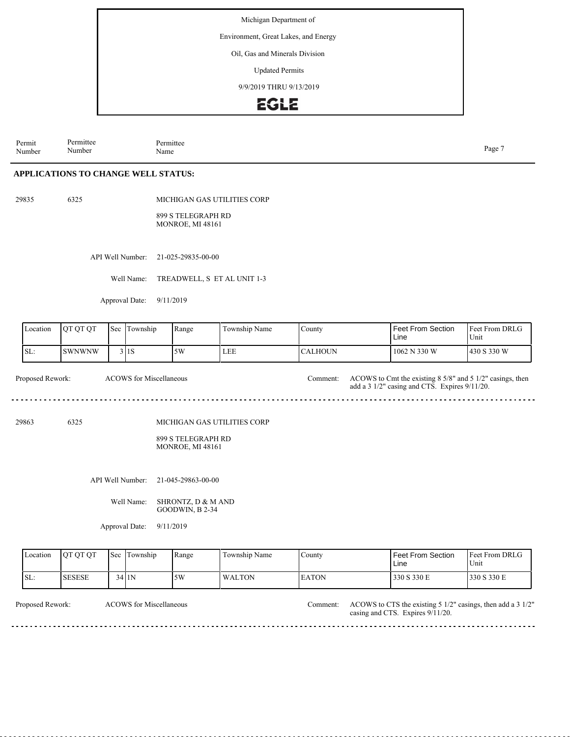Environment, Great Lakes, and Energy

Oil, Gas and Minerals Division

Updated Permits

9/9/2019 THRU 9/13/2019

### **EGLE**

Permit Number Permittee Number Permittee<br>Name Name Page 7

330 S 330 E 330 S 330 E

#### **APPLICATIONS TO CHANGE WELL STATUS:**

29835 6325

SL: SESESE

MICHIGAN GAS UTILITIES CORP

899 S TELEGRAPH RD MONROE, MI 48161

API Well Number: 21-025-29835-00-00

Well Name: TREADWELL, S ET AL UNIT 1-3

34 1N 5W WALTON

Approval Date: 9/11/2019

| Location         | QT QT QT      | Sec | Township                       | Range                                                                 | Township Name | County         | <b>Feet From Section</b><br>Line                                                                           | Feet From DRLG<br>Unit |
|------------------|---------------|-----|--------------------------------|-----------------------------------------------------------------------|---------------|----------------|------------------------------------------------------------------------------------------------------------|------------------------|
| SL:              | <b>SWNWNW</b> |     | 3 1S                           | 5W                                                                    | LEE           | <b>CALHOUN</b> | 1062 N 330 W                                                                                               | 430 S 330 W            |
| Proposed Rework: |               |     | <b>ACOWS</b> for Miscellaneous |                                                                       |               | Comment:       | ACOWS to Cmt the existing 8 5/8" and 5 1/2" casings, then<br>add a 3 1/2" casing and CTS. Expires 9/11/20. |                        |
| 29863            | 6325          |     |                                | MICHIGAN GAS UTILITIES CORP<br>899 S TELEGRAPH RD<br>MONROE, MI 48161 |               |                |                                                                                                            |                        |
|                  |               |     | API Well Number:               | 21-045-29863-00-00                                                    |               |                |                                                                                                            |                        |
|                  |               |     | Well Name:                     | SHRONTZ, D & M AND<br>GOODWIN, B 2-34                                 |               |                |                                                                                                            |                        |
|                  |               |     | Approval Date:                 | 9/11/2019                                                             |               |                |                                                                                                            |                        |
| Location         | QT QT QT      | Sec | Township                       | Range                                                                 | Township Name | County         | Feet From Section<br>Line                                                                                  | Feet From DRLG<br>Unit |

| Proposed Rework: | <b>ACOWS</b> for Miscellaneous | Comment: ACOWS to CTS the existing $5 \frac{1}{2}$ casings, then add a $3 \frac{1}{2}$ |
|------------------|--------------------------------|----------------------------------------------------------------------------------------|
|                  |                                | casing and CTS. Expires 9/11/20.                                                       |

EATON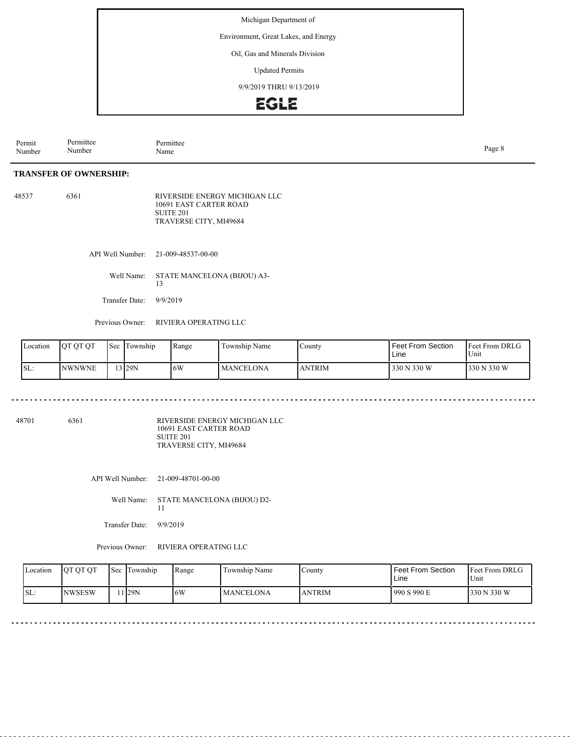Environment, Great Lakes, and Energy

Oil, Gas and Minerals Division

Updated Permits

9/9/2019 THRU 9/13/2019



**TRANSFER OF OWNERSHIP:** Permit Number Permittee Number Permittee<br>Name Name Page 8

48537 6361 RIVERSIDE ENERGY MICHIGAN LLC 10691 EAST CARTER ROAD SUITE 201 TRAVERSE CITY, MI49684

API Well Number: 21-009-48537-00-00

Well Name: STATE MANCELONA (BIJOU) A3- 13

Transfer Date: 9/9/2019

Previous Owner: RIVIERA OPERATING LLC

| Location | OT OT OT      | <b>Sec</b> | Township | Range | Township Name | County        | <b>Feet From Section</b><br>Line | <b>Feet From DRLG</b><br>Unit |
|----------|---------------|------------|----------|-------|---------------|---------------|----------------------------------|-------------------------------|
| SL:      | <b>NWNWNE</b> |            | $3$  29N | 6W    | MANCELONA     | <b>ANTRIM</b> | 330 N 330 W                      | 330 N 330 W                   |

48701 6361

RIVERSIDE ENERGY MICHIGAN LLC 10691 EAST CARTER ROAD SUITE 201 TRAVERSE CITY, MI49684

API Well Number: 21-009-48701-00-00

Well Name: STATE MANCELONA (BIJOU) D2- 11

Transfer Date: 9/9/2019

Previous Owner: RIVIERA OPERATING LLC

| Location | <b>IOT OT OT</b> | l Sec | Township | Range | Township Name    | $\mathcal{L}$ ounty | <b>Feet From Section</b><br>Line | <b>Feet From DRLG</b><br>Unit |
|----------|------------------|-------|----------|-------|------------------|---------------------|----------------------------------|-------------------------------|
| ISL:     | <b>NWSESW</b>    |       | 1 I29N   | 6W    | <b>MANCELONA</b> | <b>NTRIM</b>        | 990 S 990 E                      | 330 N 330 W                   |

. . . . . . . . . . . . . . . . . . .